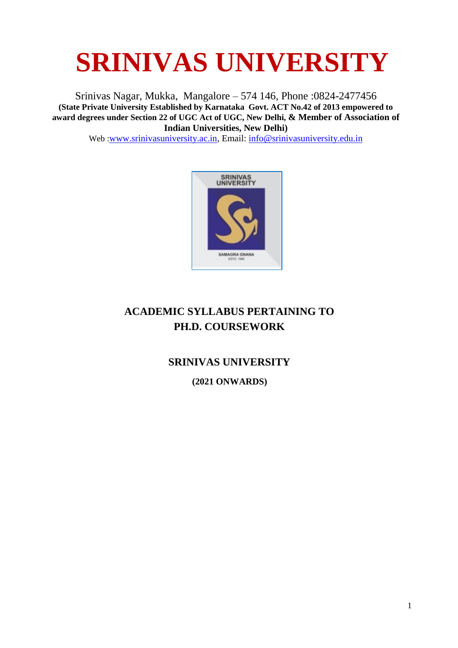Srinivas Nagar, Mukka, Mangalore – 574 146, Phone :0824-2477456 **(State Private University Established by Karnataka Govt. ACT No.42 of 2013 empowered to award degrees under Section 22 of UGC Act of UGC, New Delhi, & Member of Association of Indian Universities, New Delhi)**

Web :[www.srinivasuniversity.ac.in,](http://www.srinivasuniversity.ac.in/) Email: [info@srinivasuniversity.edu.in](mailto:info@srinivasuniversity.edu.in)



# **ACADEMIC SYLLABUS PERTAINING TO PH.D. COURSEWORK**

# **SRINIVAS UNIVERSITY (2021 ONWARDS)**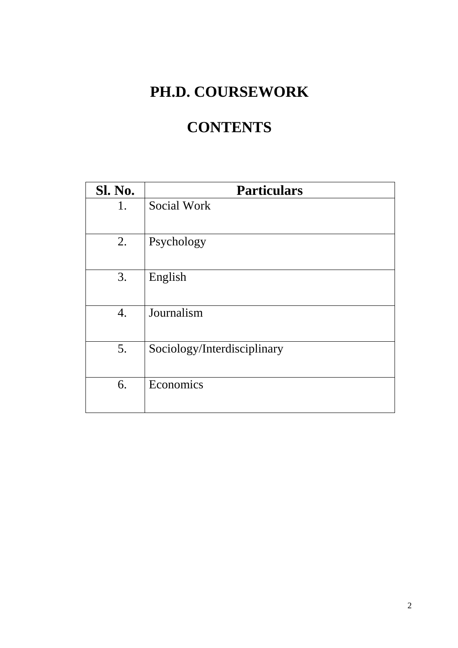# **PH.D. COURSEWORK**

# **CONTENTS**

| <b>Sl. No.</b> | <b>Particulars</b>          |
|----------------|-----------------------------|
| 1.             | Social Work                 |
| 2.             | Psychology                  |
| 3.             | English                     |
| 4.             | Journalism                  |
| 5.             | Sociology/Interdisciplinary |
| 6.             | Economics                   |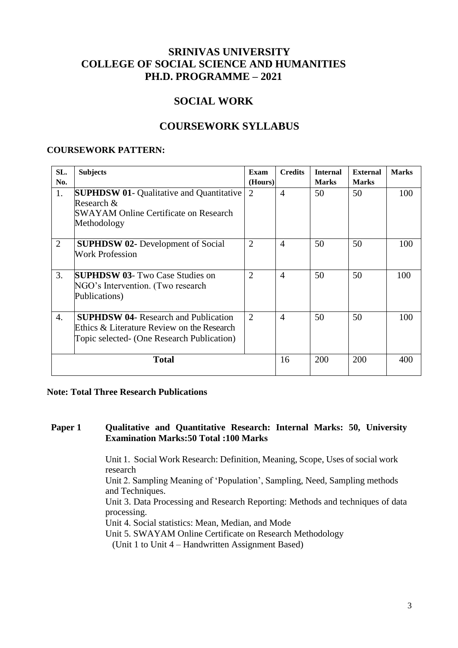# **SRINIVAS UNIVERSITY COLLEGE OF SOCIAL SCIENCE AND HUMANITIES PH.D. PROGRAMME – 2021**

# **SOCIAL WORK**

# **COURSEWORK SYLLABUS**

#### **COURSEWORK PATTERN:**

| SL.<br>No.     | <b>Subjects</b>                                                                                                                         | Exam<br>(Hours) | <b>Credits</b> | <b>Internal</b><br><b>Marks</b> | <b>External</b><br><b>Marks</b> | <b>Marks</b> |
|----------------|-----------------------------------------------------------------------------------------------------------------------------------------|-----------------|----------------|---------------------------------|---------------------------------|--------------|
| 1.             | <b>SUPHDSW 01- Qualitative and Quantitative</b><br>Research &<br><b>SWAYAM Online Certificate on Research</b><br>Methodology            | $\overline{2}$  | $\overline{4}$ | 50                              | 50                              | 100          |
| $\overline{2}$ | <b>SUPHDSW 02-</b> Development of Social<br><b>Work Profession</b>                                                                      | $\overline{2}$  | $\overline{4}$ | 50                              | 50                              | 100          |
| 3.             | <b>SUPHDSW 03- Two Case Studies on</b><br>NGO's Intervention. (Two research<br>Publications)                                            | $\overline{2}$  | $\overline{4}$ | 50                              | 50                              | 100          |
| 4.             | <b>SUPHDSW 04- Research and Publication</b><br>Ethics & Literature Review on the Research<br>Topic selected- (One Research Publication) | $\overline{2}$  | $\overline{4}$ | 50                              | 50                              | 100          |
|                | <b>Total</b>                                                                                                                            |                 | 16             | 200                             | 200                             | 400          |

#### **Note: Total Three Research Publications**

#### **Paper 1 Qualitative and Quantitative Research: Internal Marks: 50, University Examination Marks:50 Total :100 Marks**

Unit 1. Social Work Research: Definition, Meaning, Scope, Uses of social work research

Unit 2. Sampling Meaning of 'Population', Sampling, Need, Sampling methods and Techniques.

Unit 3. Data Processing and Research Reporting: Methods and techniques of data processing.

Unit 4. Social statistics: Mean, Median, and Mode

Unit 5. SWAYAM Online Certificate on Research Methodology

(Unit 1 to Unit 4 – Handwritten Assignment Based)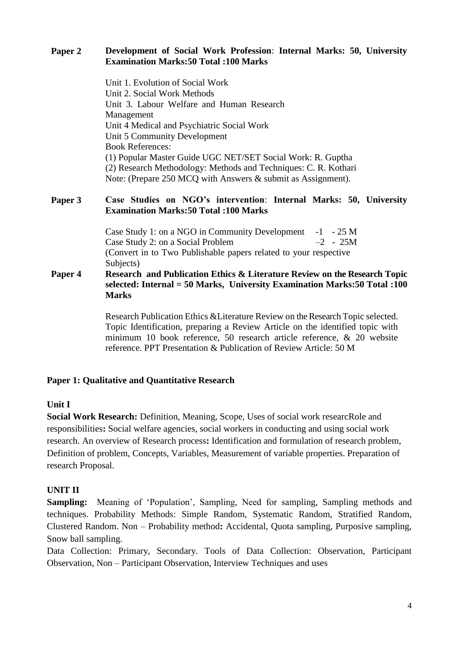# **Paper 2 Development of Social Work Profession**: **Internal Marks: 50, University Examination Marks:50 Total :100 Marks**

Unit 1. Evolution of Social Work Unit 2. Social Work Methods Unit 3. Labour Welfare and Human Research Management Unit 4 Medical and Psychiatric Social Work Unit 5 Community Development Book References: (1) Popular Master Guide UGC NET/SET Social Work: R. Guptha (2) Research Methodology: Methods and Techniques: C. R. Kothari Note: (Prepare 250 MCQ with Answers & submit as Assignment).

## **Paper 3 Case Studies on NGO's intervention**: **Internal Marks: 50, University Examination Marks:50 Total :100 Marks**

Case Study 1: on a NGO in Community Development -1 - 25 M<br>Case Study 2: on a Social Problem -2 - 25M Case Study 2: on a Social Problem (Convert in to Two Publishable papers related to your respective Subjects)

**Paper 4 Research and Publication Ethics & Literature Review on the Research Topic selected: Internal = 50 Marks, University Examination Marks:50 Total :100 Marks**

> Research Publication Ethics &Literature Review on the Research Topic selected. Topic Identification, preparing a Review Article on the identified topic with minimum 10 book reference, 50 research article reference, & 20 website reference. PPT Presentation & Publication of Review Article: 50 M

# **Paper 1: Qualitative and Quantitative Research**

## **Unit I**

**Social Work Research:** Definition, Meaning, Scope, Uses of social work researcRole and responsibilities**:** Social welfare agencies, social workers in conducting and using social work research. An overview of Research process**:** Identification and formulation of research problem, Definition of problem, Concepts, Variables, Measurement of variable properties. Preparation of research Proposal.

# **UNIT II**

**Sampling:** Meaning of 'Population', Sampling, Need for sampling, Sampling methods and techniques. Probability Methods: Simple Random, Systematic Random, Stratified Random, Clustered Random. Non – Probability method**:** Accidental, Quota sampling, Purposive sampling, Snow ball sampling.

Data Collection: Primary, Secondary. Tools of Data Collection: Observation, Participant Observation, Non – Participant Observation, Interview Techniques and uses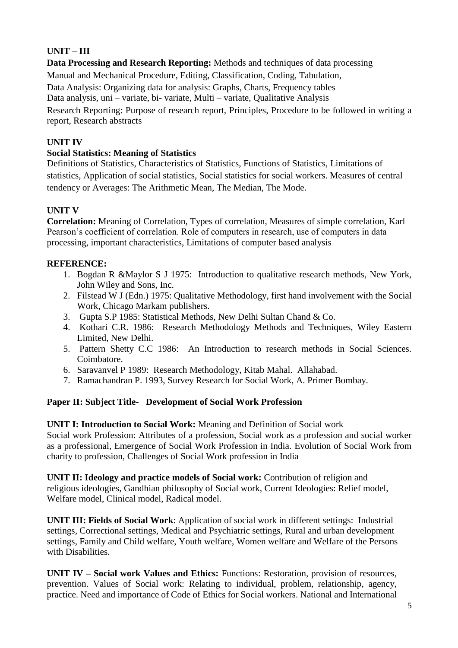# **UNIT – III**

**Data Processing and Research Reporting:** Methods and techniques of data processing Manual and Mechanical Procedure, Editing, Classification, Coding, Tabulation, Data Analysis: Organizing data for analysis: Graphs, Charts, Frequency tables Data analysis, uni – variate, bi- variate, Multi – variate, Qualitative Analysis

Research Reporting: Purpose of research report, Principles, Procedure to be followed in writing a report, Research abstracts

# **UNIT IV**

# **Social Statistics: Meaning of Statistics**

Definitions of Statistics, Characteristics of Statistics, Functions of Statistics, Limitations of statistics, Application of social statistics, Social statistics for social workers. Measures of central tendency or Averages: The Arithmetic Mean, The Median, The Mode.

# **UNIT V**

**Correlation:** Meaning of Correlation, Types of correlation, Measures of simple correlation, Karl Pearson's coefficient of correlation. Role of computers in research, use of computers in data processing, important characteristics, Limitations of computer based analysis

# **REFERENCE:**

- 1. Bogdan R &Maylor S J 1975: Introduction to qualitative research methods, New York, John Wiley and Sons, Inc.
- 2. Filstead W J (Edn.) 1975: Qualitative Methodology, first hand involvement with the Social Work, Chicago Markam publishers.
- 3. Gupta S.P 1985: Statistical Methods, New Delhi Sultan Chand & Co.
- 4. Kothari C.R. 1986: Research Methodology Methods and Techniques, Wiley Eastern Limited, New Delhi.
- 5. Pattern Shetty C.C 1986: An Introduction to research methods in Social Sciences. Coimbatore.
- 6. Saravanvel P 1989: Research Methodology, Kitab Mahal. Allahabad.
- 7. Ramachandran P. 1993, Survey Research for Social Work, A. Primer Bombay.

# **Paper II: Subject Title- Development of Social Work Profession**

**UNIT I: Introduction to Social Work:** Meaning and Definition of Social work

Social work Profession: Attributes of a profession, Social work as a profession and social worker as a professional, Emergence of Social Work Profession in India. Evolution of Social Work from charity to profession, Challenges of Social Work profession in India

**UNIT II: Ideology and practice models of Social work:** Contribution of religion and religious ideologies, Gandhian philosophy of Social work, Current Ideologies: Relief model, Welfare model, Clinical model, Radical model.

**UNIT III: Fields of Social Work**: Application of social work in different settings: Industrial settings, Correctional settings, Medical and Psychiatric settings, Rural and urban development settings, Family and Child welfare, Youth welfare, Women welfare and Welfare of the Persons with Disabilities.

**UNIT IV – Social work Values and Ethics:** Functions: Restoration, provision of resources, prevention. Values of Social work: Relating to individual, problem, relationship, agency, practice. Need and importance of Code of Ethics for Social workers. National and International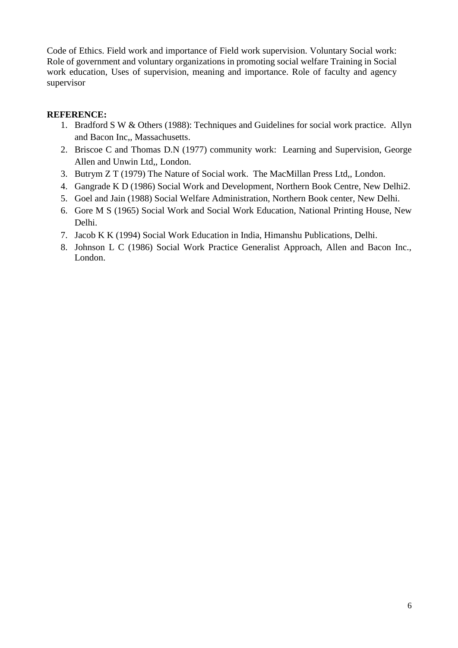Code of Ethics. Field work and importance of Field work supervision. Voluntary Social work: Role of government and voluntary organizations in promoting social welfare Training in Social work education, Uses of supervision, meaning and importance. Role of faculty and agency supervisor

# **REFERENCE:**

- 1. Bradford S W & Others (1988): Techniques and Guidelines for social work practice. Allyn and Bacon Inc,, Massachusetts.
- 2. Briscoe C and Thomas D.N (1977) community work: Learning and Supervision, George Allen and Unwin Ltd,, London.
- 3. Butrym Z T (1979) The Nature of Social work. The MacMillan Press Ltd,, London.
- 4. Gangrade K D (1986) Social Work and Development, Northern Book Centre, New Delhi2.
- 5. Goel and Jain (1988) Social Welfare Administration, Northern Book center, New Delhi.
- 6. Gore M S (1965) Social Work and Social Work Education, National Printing House, New Delhi.
- 7. Jacob K K (1994) Social Work Education in India, Himanshu Publications, Delhi.
- 8. Johnson L C (1986) Social Work Practice Generalist Approach, Allen and Bacon Inc., London.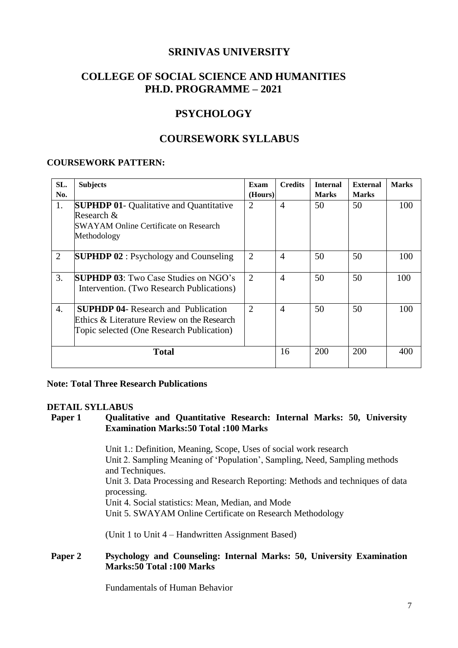# **COLLEGE OF SOCIAL SCIENCE AND HUMANITIES PH.D. PROGRAMME – 2021**

# **PSYCHOLOGY**

# **COURSEWORK SYLLABUS**

#### **COURSEWORK PATTERN:**

| SL.              | <b>Subjects</b>                                | Exam           | <b>Credits</b> | <b>Internal</b> | <b>External</b> | <b>Marks</b> |
|------------------|------------------------------------------------|----------------|----------------|-----------------|-----------------|--------------|
| No.              |                                                | (Hours)        |                | <b>Marks</b>    | <b>Marks</b>    |              |
| 1.               | <b>SUPHDP 01- Qualitative and Quantitative</b> | $\overline{2}$ | $\overline{4}$ | 50              | 50              | 100          |
|                  | Research $\&$                                  |                |                |                 |                 |              |
|                  | SWAYAM Online Certificate on Research          |                |                |                 |                 |              |
|                  | Methodology                                    |                |                |                 |                 |              |
|                  |                                                |                |                |                 |                 |              |
| $\overline{2}$   | <b>SUPHDP 02</b> : Psychology and Counseling   | $\overline{2}$ | $\overline{4}$ | 50              | 50              | 100          |
|                  |                                                |                |                |                 |                 |              |
| 3.               | <b>SUPHDP 03</b> : Two Case Studies on NGO's   | $\overline{2}$ | $\overline{4}$ | 50              | 50              | 100          |
|                  | Intervention. (Two Research Publications)      |                |                |                 |                 |              |
|                  |                                                |                |                |                 |                 |              |
| $\overline{4}$ . | <b>SUPHDP 04-</b> Research and Publication     | $\overline{2}$ | $\overline{4}$ | 50              | 50              | 100          |
|                  | Ethics & Literature Review on the Research     |                |                |                 |                 |              |
|                  | Topic selected (One Research Publication)      |                |                |                 |                 |              |
|                  |                                                |                |                |                 |                 |              |
|                  | <b>Total</b>                                   |                | 16             | 200             | 200             | 400          |
|                  |                                                |                |                |                 |                 |              |

#### **Note: Total Three Research Publications**

#### **DETAIL SYLLABUS**

#### **Paper 1 Qualitative and Quantitative Research: Internal Marks: 50, University Examination Marks:50 Total :100 Marks**

Unit 1.: Definition, Meaning, Scope, Uses of social work research Unit 2. Sampling Meaning of 'Population', Sampling, Need, Sampling methods and Techniques. Unit 3. Data Processing and Research Reporting: Methods and techniques of data processing. Unit 4. Social statistics: Mean, Median, and Mode Unit 5. SWAYAM Online Certificate on Research Methodology

(Unit 1 to Unit 4 – Handwritten Assignment Based)

## **Paper 2 Psychology and Counseling: Internal Marks: 50, University Examination Marks:50 Total :100 Marks**

Fundamentals of Human Behavior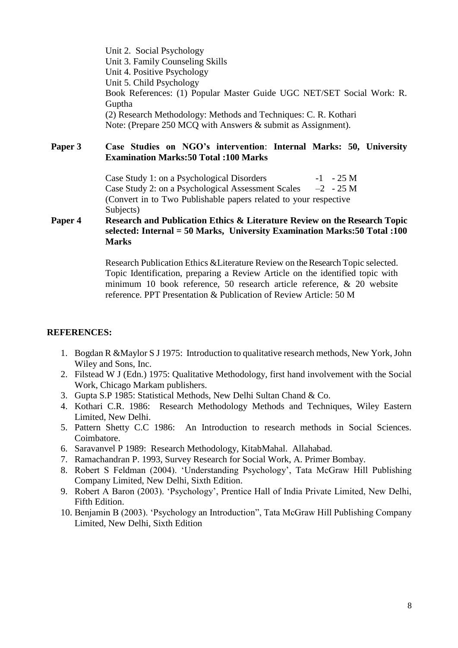Unit 2. Social Psychology Unit 3. Family Counseling Skills Unit 4. Positive Psychology Unit 5. Child Psychology Book References: (1) Popular Master Guide UGC NET/SET Social Work: R. Guptha (2) Research Methodology: Methods and Techniques: C. R. Kothari Note: (Prepare 250 MCQ with Answers & submit as Assignment).

**Paper 3 Case Studies on NGO's intervention**: **Internal Marks: 50, University Examination Marks:50 Total :100 Marks**

> Case Study 1: on a Psychological Disorders -1 - 25 M Case Study 2: on a Psychological Assessment Scales  $-2$  - 25 M (Convert in to Two Publishable papers related to your respective Subjects)

#### **Paper 4 Research and Publication Ethics & Literature Review on the Research Topic selected: Internal = 50 Marks, University Examination Marks:50 Total :100 Marks**

Research Publication Ethics &Literature Review on the Research Topic selected. Topic Identification, preparing a Review Article on the identified topic with minimum 10 book reference, 50 research article reference, & 20 website reference. PPT Presentation & Publication of Review Article: 50 M

#### **REFERENCES:**

- 1. Bogdan R &Maylor S J 1975: Introduction to qualitative research methods, New York, John Wiley and Sons, Inc.
- 2. Filstead W J (Edn.) 1975: Qualitative Methodology, first hand involvement with the Social Work, Chicago Markam publishers.
- 3. Gupta S.P 1985: Statistical Methods, New Delhi Sultan Chand & Co.
- 4. Kothari C.R. 1986: Research Methodology Methods and Techniques, Wiley Eastern Limited, New Delhi.
- 5. Pattern Shetty C.C 1986: An Introduction to research methods in Social Sciences. Coimbatore.
- 6. Saravanvel P 1989: Research Methodology, KitabMahal. Allahabad.
- 7. Ramachandran P. 1993, Survey Research for Social Work, A. Primer Bombay.
- 8. Robert S Feldman (2004). 'Understanding Psychology', Tata McGraw Hill Publishing Company Limited, New Delhi, Sixth Edition.
- 9. Robert A Baron (2003). 'Psychology', Prentice Hall of India Private Limited, New Delhi, Fifth Edition.
- 10. Benjamin B (2003). 'Psychology an Introduction", Tata McGraw Hill Publishing Company Limited, New Delhi, Sixth Edition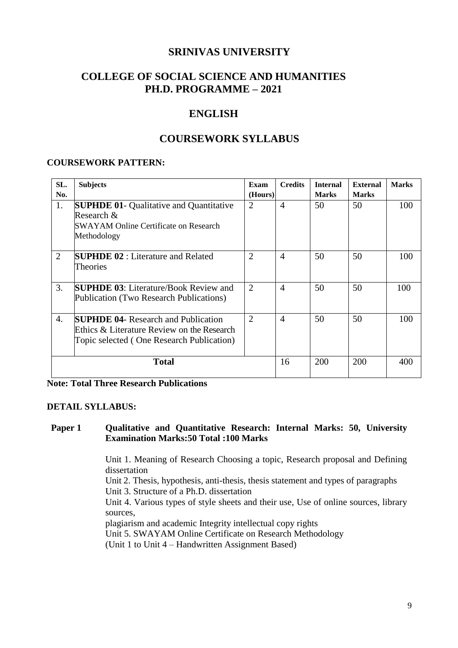# **COLLEGE OF SOCIAL SCIENCE AND HUMANITIES PH.D. PROGRAMME – 2021**

# **ENGLISH**

# **COURSEWORK SYLLABUS**

#### **COURSEWORK PATTERN:**

| SL.<br>No.     | <b>Subjects</b>                                                                                                                          | Exam<br>(Hours) | <b>Credits</b> | <b>Internal</b><br><b>Marks</b> | <b>External</b><br><b>Marks</b> | <b>Marks</b> |
|----------------|------------------------------------------------------------------------------------------------------------------------------------------|-----------------|----------------|---------------------------------|---------------------------------|--------------|
| 1.             | <b>SUPHDE 01- Qualitative and Quantitative</b><br>Research $&$<br>SWAYAM Online Certificate on Research<br>Methodology                   | $\overline{2}$  | $\overline{4}$ | 50                              | 50                              | 100          |
| $\overline{2}$ | <b>SUPHDE 02</b> : Literature and Related<br>Theories                                                                                    | $\overline{2}$  | $\overline{4}$ | 50                              | 50                              | 100          |
| 3.             | <b>SUPHDE 03:</b> Literature/Book Review and<br>Publication (Two Research Publications)                                                  | $\overline{2}$  | $\overline{4}$ | 50                              | 50                              | 100          |
| 4.             | <b>SUPHDE 04-</b> Research and Publication<br>Ethics $\&$ Literature Review on the Research<br>Topic selected (One Research Publication) | $\overline{2}$  | $\overline{4}$ | 50                              | 50                              | 100          |
|                | <b>Total</b>                                                                                                                             |                 | 16             | 200                             | 200                             | 400          |

| <b>Note: Total Three Research Publications</b> |
|------------------------------------------------|
|------------------------------------------------|

#### **DETAIL SYLLABUS:**

#### **Paper 1 Qualitative and Quantitative Research: Internal Marks: 50, University Examination Marks:50 Total :100 Marks**

Unit 1. Meaning of Research Choosing a topic, Research proposal and Defining dissertation

Unit 2. Thesis, hypothesis, anti-thesis, thesis statement and types of paragraphs

Unit 3. Structure of a Ph.D. dissertation

Unit 4. Various types of style sheets and their use, Use of online sources, library sources,

plagiarism and academic Integrity intellectual copy rights

Unit 5. SWAYAM Online Certificate on Research Methodology

(Unit 1 to Unit 4 – Handwritten Assignment Based)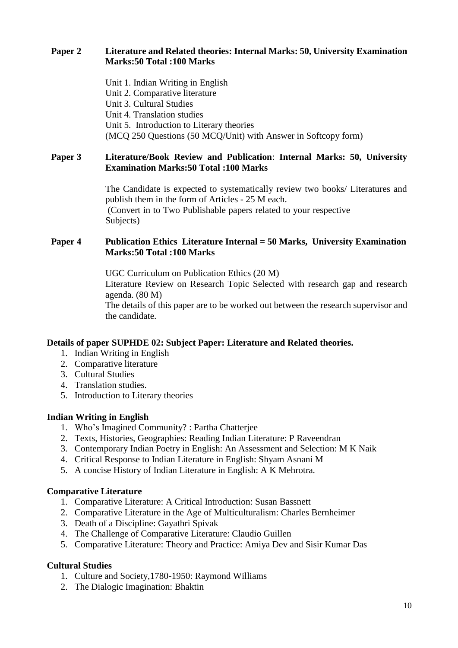## **Paper 2 Literature and Related theories: Internal Marks: 50, University Examination Marks:50 Total :100 Marks**

Unit 1. Indian Writing in English Unit 2. Comparative literature Unit 3. Cultural Studies Unit 4. Translation studies Unit 5. Introduction to Literary theories (MCQ 250 Questions (50 MCQ/Unit) with Answer in Softcopy form)

#### **Paper 3 Literature/Book Review and Publication**: **Internal Marks: 50, University Examination Marks:50 Total :100 Marks**

The Candidate is expected to systematically review two books/ Literatures and publish them in the form of Articles - 25 M each. (Convert in to Two Publishable papers related to your respective Subjects)

## **Paper 4 Publication Ethics Literature Internal = 50 Marks, University Examination Marks:50 Total :100 Marks**

UGC Curriculum on Publication Ethics (20 M) Literature Review on Research Topic Selected with research gap and research agenda. (80 M) The details of this paper are to be worked out between the research supervisor and the candidate.

## **Details of paper SUPHDE 02: Subject Paper: Literature and Related theories.**

- 1. Indian Writing in English
- 2. Comparative literature
- 3. Cultural Studies
- 4. Translation studies.
- 5. Introduction to Literary theories

## **Indian Writing in English**

- 1. Who's Imagined Community? : Partha Chatterjee
- 2. Texts, Histories, Geographies: Reading Indian Literature: P Raveendran
- 3. Contemporary Indian Poetry in English: An Assessment and Selection: M K Naik
- 4. Critical Response to Indian Literature in English: Shyam Asnani M
- 5. A concise History of Indian Literature in English: A K Mehrotra.

## **Comparative Literature**

- 1. Comparative Literature: A Critical Introduction: Susan Bassnett
- 2. Comparative Literature in the Age of Multiculturalism: Charles Bernheimer
- 3. Death of a Discipline: Gayathri Spivak
- 4. The Challenge of Comparative Literature: Claudio Guillen
- 5. Comparative Literature: Theory and Practice: Amiya Dev and Sisir Kumar Das

## **Cultural Studies**

- 1. Culture and Society,1780-1950: Raymond Williams
- 2. The Dialogic Imagination: Bhaktin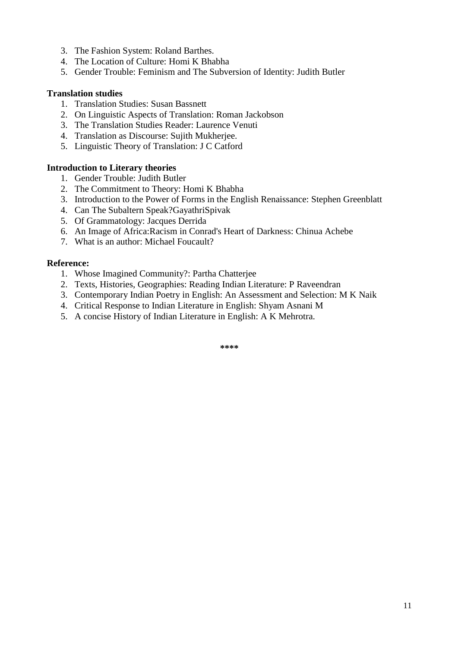- 3. The Fashion System: Roland Barthes.
- 4. The Location of Culture: Homi K Bhabha
- 5. Gender Trouble: Feminism and The Subversion of Identity: Judith Butler

#### **Translation studies**

- 1. Translation Studies: Susan Bassnett
- 2. On Linguistic Aspects of Translation: Roman Jackobson
- 3. The Translation Studies Reader: Laurence Venuti
- 4. Translation as Discourse: Sujith Mukherjee.
- 5. Linguistic Theory of Translation: J C Catford

#### **Introduction to Literary theories**

- 1. Gender Trouble: Judith Butler
- 2. The Commitment to Theory: Homi K Bhabha
- 3. Introduction to the Power of Forms in the English Renaissance: Stephen Greenblatt
- 4. Can The Subaltern Speak?GayathriSpivak
- 5. Of Grammatology: Jacques Derrida
- 6. An Image of Africa:Racism in Conrad's Heart of Darkness: Chinua Achebe
- 7. What is an author: Michael Foucault?

#### **Reference:**

- 1. Whose Imagined Community?: Partha Chatterjee
- 2. Texts, Histories, Geographies: Reading Indian Literature: P Raveendran
- 3. Contemporary Indian Poetry in English: An Assessment and Selection: M K Naik
- 4. Critical Response to Indian Literature in English: Shyam Asnani M
- 5. A concise History of Indian Literature in English: A K Mehrotra.

**\*\*\*\***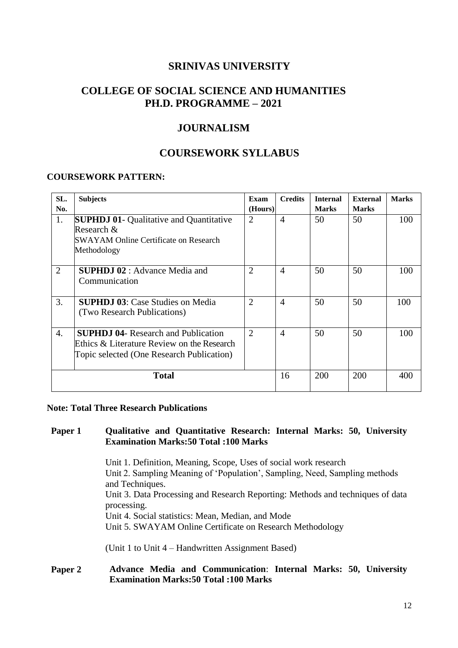# **COLLEGE OF SOCIAL SCIENCE AND HUMANITIES PH.D. PROGRAMME – 2021**

# **JOURNALISM**

# **COURSEWORK SYLLABUS**

#### **COURSEWORK PATTERN:**

| SL.<br>No. | <b>Subjects</b>                                                                                                                       | Exam<br>(Hours) | <b>Credits</b> | <b>Internal</b><br><b>Marks</b> | <b>External</b><br><b>Marks</b> | <b>Marks</b> |
|------------|---------------------------------------------------------------------------------------------------------------------------------------|-----------------|----------------|---------------------------------|---------------------------------|--------------|
| 1.         | <b>SUPHDJ 01- Qualitative and Quantitative</b><br>Research &<br>SWAYAM Online Certificate on Research<br>Methodology                  | $\overline{2}$  | $\overline{4}$ | 50                              | 50                              | 100          |
| 2          | <b>SUPHDJ 02</b> : Advance Media and<br>Communication                                                                                 | $\overline{2}$  | $\overline{A}$ | 50                              | 50                              | 100          |
| 3.         | <b>SUPHDJ 03: Case Studies on Media</b><br>(Two Research Publications)                                                                | $\overline{2}$  | $\overline{4}$ | 50                              | 50                              | 100          |
| 4.         | <b>SUPHDJ 04-</b> Research and Publication<br>Ethics & Literature Review on the Research<br>Topic selected (One Research Publication) | $\overline{2}$  | $\overline{4}$ | 50                              | 50                              | 100          |
|            | <b>Total</b>                                                                                                                          |                 | 16             | <b>200</b>                      | 200                             | 400          |

#### **Note: Total Three Research Publications**

#### **Paper 1 Qualitative and Quantitative Research: Internal Marks: 50, University Examination Marks:50 Total :100 Marks**

Unit 1. Definition, Meaning, Scope, Uses of social work research Unit 2. Sampling Meaning of 'Population', Sampling, Need, Sampling methods and Techniques. Unit 3. Data Processing and Research Reporting: Methods and techniques of data processing. Unit 4. Social statistics: Mean, Median, and Mode Unit 5. SWAYAM Online Certificate on Research Methodology

(Unit 1 to Unit 4 – Handwritten Assignment Based)

# **Paper 2 Advance Media and Communication**: **Internal Marks: 50, University Examination Marks:50 Total :100 Marks**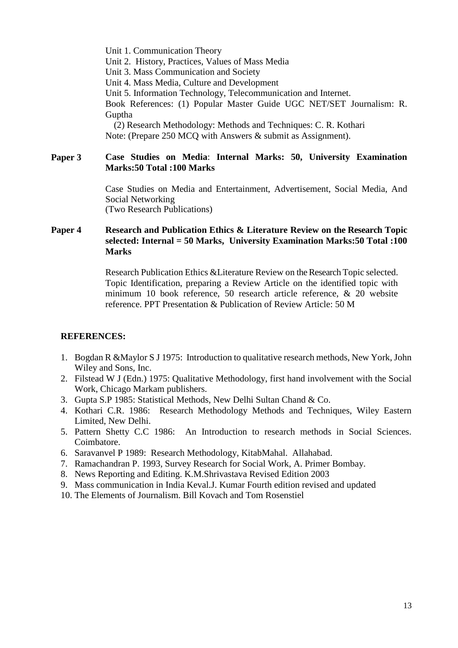Unit 1. Communication Theory Unit 2. History, Practices, Values of Mass Media Unit 3. Mass Communication and Society Unit 4. Mass Media, Culture and Development Unit 5. Information Technology, Telecommunication and Internet. Book References: (1) Popular Master Guide UGC NET/SET Journalism: R. Guptha (2) Research Methodology: Methods and Techniques: C. R. Kothari

**Paper 3 Case Studies on Media**: **Internal Marks: 50, University Examination** 

Note: (Prepare 250 MCQ with Answers & submit as Assignment).

# **Marks:50 Total :100 Marks**

Case Studies on Media and Entertainment, Advertisement, Social Media, And Social Networking (Two Research Publications)

## **Paper 4 Research and Publication Ethics & Literature Review on the Research Topic selected: Internal = 50 Marks, University Examination Marks:50 Total :100 Marks**

Research Publication Ethics &Literature Review on the Research Topic selected. Topic Identification, preparing a Review Article on the identified topic with minimum 10 book reference, 50 research article reference, & 20 website reference. PPT Presentation & Publication of Review Article: 50 M

## **REFERENCES:**

- 1. Bogdan R &Maylor S J 1975: Introduction to qualitative research methods, New York, John Wiley and Sons, Inc.
- 2. Filstead W J (Edn.) 1975: Qualitative Methodology, first hand involvement with the Social Work, Chicago Markam publishers.
- 3. Gupta S.P 1985: Statistical Methods, New Delhi Sultan Chand & Co.
- 4. Kothari C.R. 1986: Research Methodology Methods and Techniques, Wiley Eastern Limited, New Delhi.
- 5. Pattern Shetty C.C 1986: An Introduction to research methods in Social Sciences. Coimbatore.
- 6. Saravanvel P 1989: Research Methodology, KitabMahal. Allahabad.
- 7. Ramachandran P. 1993, Survey Research for Social Work, A. Primer Bombay.
- 8. News Reporting and Editing. K.M.Shrivastava Revised Edition 2003
- 9. Mass communication in India Keval.J. Kumar Fourth edition revised and updated
- 10. The Elements of Journalism. Bill Kovach and Tom Rosenstiel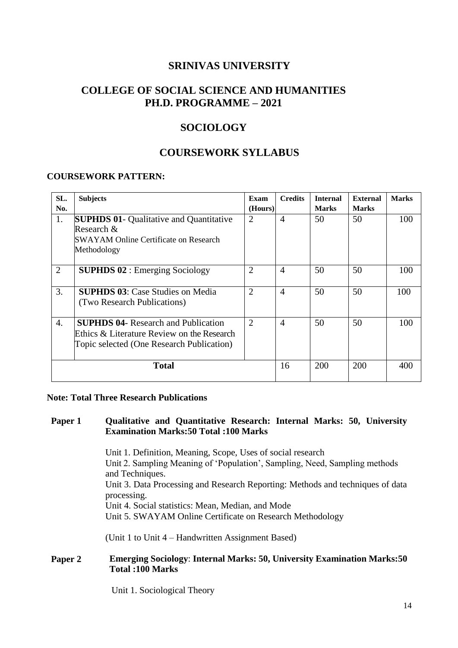# **COLLEGE OF SOCIAL SCIENCE AND HUMANITIES PH.D. PROGRAMME – 2021**

# **SOCIOLOGY**

# **COURSEWORK SYLLABUS**

#### **COURSEWORK PATTERN:**

| SL.            | <b>Subjects</b>                                | Exam           | <b>Credits</b> | <b>Internal</b> | <b>External</b> | <b>Marks</b> |
|----------------|------------------------------------------------|----------------|----------------|-----------------|-----------------|--------------|
| No.            |                                                | (Hours)        |                | <b>Marks</b>    | <b>Marks</b>    |              |
| 1.             | <b>SUPHDS 01- Qualitative and Quantitative</b> | $\overline{2}$ | $\overline{4}$ | 50              | 50              | 100          |
|                | Research $\&$                                  |                |                |                 |                 |              |
|                | <b>SWAYAM Online Certificate on Research</b>   |                |                |                 |                 |              |
|                | Methodology                                    |                |                |                 |                 |              |
|                |                                                |                |                |                 |                 |              |
| $\overline{2}$ | <b>SUPHDS 02</b> : Emerging Sociology          | $\overline{2}$ | $\overline{4}$ | 50              | 50              | 100          |
|                |                                                |                |                |                 |                 |              |
| 3.             | <b>SUPHDS 03:</b> Case Studies on Media        | $\overline{2}$ | $\overline{4}$ | 50              | 50              | 100          |
|                | (Two Research Publications)                    |                |                |                 |                 |              |
|                |                                                |                |                |                 |                 |              |
| 4.             | <b>SUPHDS 04- Research and Publication</b>     | $\overline{2}$ | $\overline{4}$ | 50              | 50              | 100          |
|                | Ethics & Literature Review on the Research     |                |                |                 |                 |              |
|                | Topic selected (One Research Publication)      |                |                |                 |                 |              |
|                |                                                |                |                |                 |                 |              |
|                | <b>Total</b>                                   |                | 16             | 200             | 200             | 400          |
|                |                                                |                |                |                 |                 |              |

#### **Note: Total Three Research Publications**

#### **Paper 1 Qualitative and Quantitative Research: Internal Marks: 50, University Examination Marks:50 Total :100 Marks**

Unit 1. Definition, Meaning, Scope, Uses of social research Unit 2. Sampling Meaning of 'Population', Sampling, Need, Sampling methods and Techniques. Unit 3. Data Processing and Research Reporting: Methods and techniques of data processing. Unit 4. Social statistics: Mean, Median, and Mode Unit 5. SWAYAM Online Certificate on Research Methodology

(Unit 1 to Unit 4 – Handwritten Assignment Based)

#### **Paper 2 Emerging Sociology**: **Internal Marks: 50, University Examination Marks:50 Total :100 Marks**

Unit 1. Sociological Theory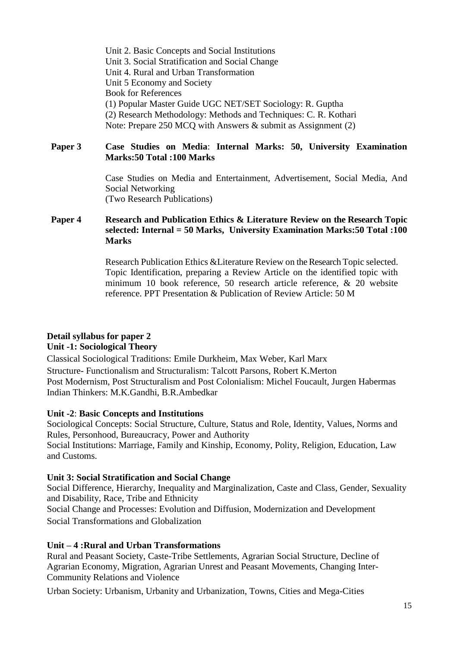Unit 2. Basic Concepts and Social Institutions Unit 3. Social Stratification and Social Change Unit 4. Rural and Urban Transformation Unit 5 Economy and Society Book for References (1) Popular Master Guide UGC NET/SET Sociology: R. Guptha (2) Research Methodology: Methods and Techniques: C. R. Kothari Note: Prepare 250 MCQ with Answers & submit as Assignment (2)

**Paper 3 Case Studies on Media**: **Internal Marks: 50, University Examination Marks:50 Total :100 Marks**

> Case Studies on Media and Entertainment, Advertisement, Social Media, And Social Networking (Two Research Publications)

**Paper 4 Research and Publication Ethics & Literature Review on the Research Topic selected: Internal = 50 Marks, University Examination Marks:50 Total :100 Marks**

> Research Publication Ethics &Literature Review on the Research Topic selected. Topic Identification, preparing a Review Article on the identified topic with minimum 10 book reference, 50 research article reference, & 20 website reference. PPT Presentation & Publication of Review Article: 50 M

# **Detail syllabus for paper 2**

# **Unit -1: Sociological Theory**

Classical Sociological Traditions: Emile Durkheim, Max Weber, Karl Marx Structure- Functionalism and Structuralism: Talcott Parsons, Robert K.Merton Post Modernism, Post Structuralism and Post Colonialism: Michel Foucault, Jurgen Habermas Indian Thinkers: M.K.Gandhi, B.R.Ambedkar

# **Unit -2**: **Basic Concepts and Institutions**

Sociological Concepts: Social Structure, Culture, Status and Role, Identity, Values, Norms and Rules, Personhood, Bureaucracy, Power and Authority Social Institutions: Marriage, Family and Kinship, Economy, Polity, Religion, Education, Law and Customs.

# **Unit 3: Social Stratification and Social Change**

Social Difference, Hierarchy, Inequality and Marginalization, Caste and Class, Gender, Sexuality and Disability, Race, Tribe and Ethnicity Social Change and Processes: Evolution and Diffusion, Modernization and Development Social Transformations and Globalization

# **Unit – 4 :Rural and Urban Transformations**

Rural and Peasant Society, Caste-Tribe Settlements, Agrarian Social Structure, Decline of Agrarian Economy, Migration, Agrarian Unrest and Peasant Movements, Changing Inter-Community Relations and Violence

Urban Society: Urbanism, Urbanity and Urbanization, Towns, Cities and Mega-Cities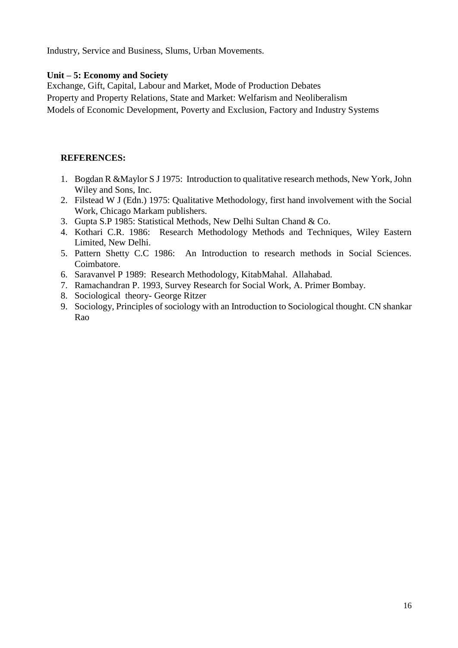Industry, Service and Business, Slums, Urban Movements.

#### **Unit – 5: Economy and Society**

Exchange, Gift, Capital, Labour and Market, Mode of Production Debates Property and Property Relations, State and Market: Welfarism and Neoliberalism Models of Economic Development, Poverty and Exclusion, Factory and Industry Systems

#### **REFERENCES:**

- 1. Bogdan R &Maylor S J 1975: Introduction to qualitative research methods, New York, John Wiley and Sons, Inc.
- 2. Filstead W J (Edn.) 1975: Qualitative Methodology, first hand involvement with the Social Work, Chicago Markam publishers.
- 3. Gupta S.P 1985: Statistical Methods, New Delhi Sultan Chand & Co.
- 4. Kothari C.R. 1986: Research Methodology Methods and Techniques, Wiley Eastern Limited, New Delhi.
- 5. Pattern Shetty C.C 1986: An Introduction to research methods in Social Sciences. Coimbatore.
- 6. Saravanvel P 1989: Research Methodology, KitabMahal. Allahabad.
- 7. Ramachandran P. 1993, Survey Research for Social Work, A. Primer Bombay.
- 8. Sociological theory- George Ritzer
- 9. Sociology, Principles of sociology with an Introduction to Sociological thought. CN shankar Rao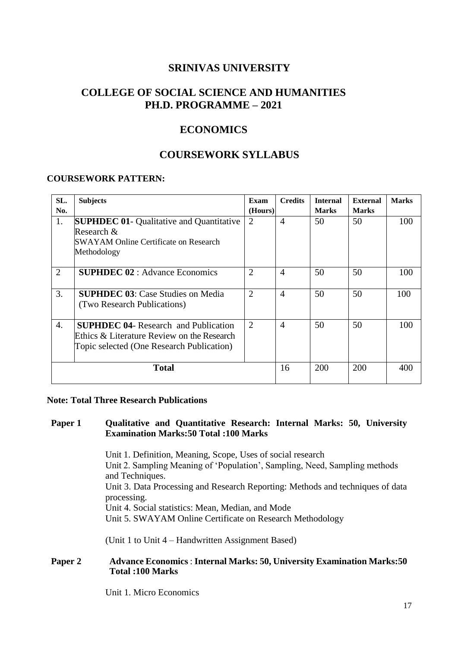# **COLLEGE OF SOCIAL SCIENCE AND HUMANITIES PH.D. PROGRAMME – 2021**

# **ECONOMICS**

# **COURSEWORK SYLLABUS**

#### **COURSEWORK PATTERN:**

| SL.<br>No.       | <b>Subjects</b>                                                                                                                        | Exam<br>(Hours) | <b>Credits</b> | <b>Internal</b><br><b>Marks</b> | External<br><b>Marks</b> | <b>Marks</b> |
|------------------|----------------------------------------------------------------------------------------------------------------------------------------|-----------------|----------------|---------------------------------|--------------------------|--------------|
| 1.               | <b>SUPHDEC 01- Qualitative and Quantitative</b><br>Research $\&$<br><b>SWAYAM Online Certificate on Research</b><br>Methodology        | $\overline{2}$  | $\overline{4}$ | 50                              | 50                       | 100          |
| $\overline{2}$   | <b>SUPHDEC 02</b> : Advance Economics                                                                                                  | $\overline{2}$  | $\overline{A}$ | 50                              | 50                       | 100          |
| 3.               | <b>SUPHDEC 03:</b> Case Studies on Media<br>(Two Research Publications)                                                                | $\overline{2}$  | $\overline{4}$ | 50                              | 50                       | 100          |
| $\overline{4}$ . | <b>SUPHDEC 04-</b> Research and Publication<br>Ethics & Literature Review on the Research<br>Topic selected (One Research Publication) | 2               | $\overline{4}$ | 50                              | 50                       | 100          |
|                  | <b>Total</b>                                                                                                                           |                 | 16             | 200                             | 200                      | 400          |

#### **Note: Total Three Research Publications**

#### **Paper 1 Qualitative and Quantitative Research: Internal Marks: 50, University Examination Marks:50 Total :100 Marks**

Unit 1. Definition, Meaning, Scope, Uses of social research Unit 2. Sampling Meaning of 'Population', Sampling, Need, Sampling methods and Techniques. Unit 3. Data Processing and Research Reporting: Methods and techniques of data processing. Unit 4. Social statistics: Mean, Median, and Mode Unit 5. SWAYAM Online Certificate on Research Methodology

(Unit 1 to Unit 4 – Handwritten Assignment Based)

#### **Paper 2 Advance Economics** : **Internal Marks: 50, University Examination Marks:50 Total :100 Marks**

Unit 1. Micro Economics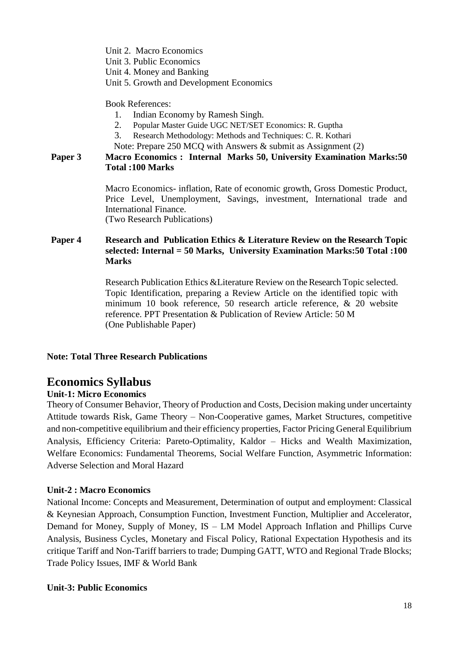Unit 2. Macro Economics

Unit 3. Public Economics

Unit 4. Money and Banking

Unit 5. Growth and Development Economics

Book References:

- 1. Indian Economy by Ramesh Singh.
- 2. Popular Master Guide UGC NET/SET Economics: R. Guptha
- 3. Research Methodology: Methods and Techniques: C. R. Kothari
- Note: Prepare 250 MCQ with Answers & submit as Assignment (2)

## **Paper 3 Macro Economics : Internal Marks 50, University Examination Marks:50 Total :100 Marks**

Macro Economics- inflation, Rate of economic growth, Gross Domestic Product, Price Level, Unemployment, Savings, investment, International trade and International Finance. (Two Research Publications)

## **Paper 4 Research and Publication Ethics & Literature Review on the Research Topic selected: Internal = 50 Marks, University Examination Marks:50 Total :100 Marks**

Research Publication Ethics &Literature Review on the Research Topic selected. Topic Identification, preparing a Review Article on the identified topic with minimum 10 book reference, 50 research article reference, & 20 website reference. PPT Presentation & Publication of Review Article: 50 M (One Publishable Paper)

## **Note: Total Three Research Publications**

# **Economics Syllabus**

# **Unit-1: Micro Economics**

Theory of Consumer Behavior, Theory of Production and Costs, Decision making under uncertainty Attitude towards Risk, Game Theory – Non-Cooperative games, Market Structures, competitive and non-competitive equilibrium and their efficiency properties, Factor Pricing General Equilibrium Analysis, Efficiency Criteria: Pareto-Optimality, Kaldor – Hicks and Wealth Maximization, Welfare Economics: Fundamental Theorems, Social Welfare Function, Asymmetric Information: Adverse Selection and Moral Hazard

# **Unit-2 : Macro Economics**

National Income: Concepts and Measurement, Determination of output and employment: Classical & Keynesian Approach, Consumption Function, Investment Function, Multiplier and Accelerator, Demand for Money, Supply of Money, IS – LM Model Approach Inflation and Phillips Curve Analysis, Business Cycles, Monetary and Fiscal Policy, Rational Expectation Hypothesis and its critique Tariff and Non-Tariff barriers to trade; Dumping GATT, WTO and Regional Trade Blocks; Trade Policy Issues, IMF & World Bank

## **Unit-3: Public Economics**